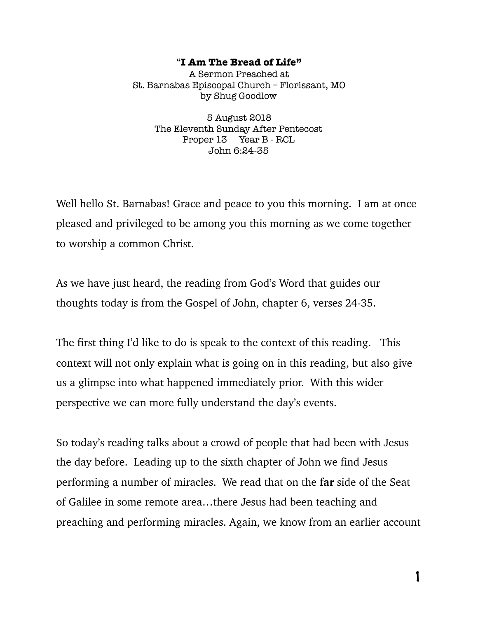## "**I Am The Bread of Life"**

A Sermon Preached at St. Barnabas Episcopal Church – Florissant, MO by Shug Goodlow

> 5 August 2018 The Eleventh Sunday After Pentecost Proper 13 Year B - RCL John 6:24-35

Well hello St. Barnabas! Grace and peace to you this morning. I am at once pleased and privileged to be among you this morning as we come together to worship a common Christ.

As we have just heard, the reading from God's Word that guides our thoughts today is from the Gospel of John, chapter 6, verses 24-35.

The first thing I'd like to do is speak to the context of this reading. This context will not only explain what is going on in this reading, but also give us a glimpse into what happened immediately prior. With this wider perspective we can more fully understand the day's events.

So today's reading talks about a crowd of people that had been with Jesus the day before. Leading up to the sixth chapter of John we find Jesus performing a number of miracles. We read that on the **far** side of the Seat of Galilee in some remote area…there Jesus had been teaching and preaching and performing miracles. Again, we know from an earlier account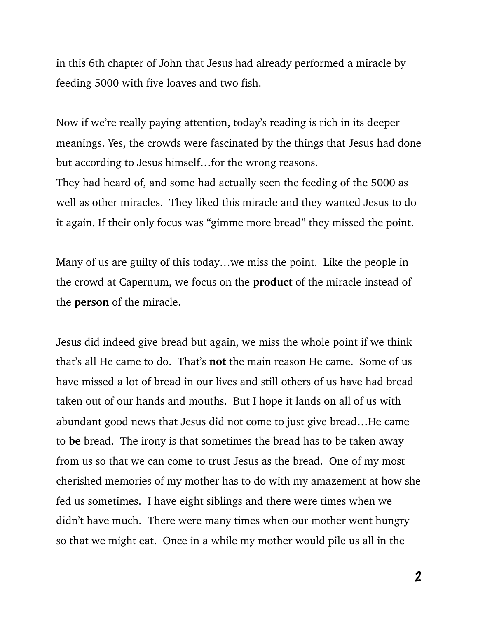in this 6th chapter of John that Jesus had already performed a miracle by feeding 5000 with five loaves and two fish.

Now if we're really paying attention, today's reading is rich in its deeper meanings. Yes, the crowds were fascinated by the things that Jesus had done but according to Jesus himself…for the wrong reasons.

They had heard of, and some had actually seen the feeding of the 5000 as well as other miracles. They liked this miracle and they wanted Jesus to do it again. If their only focus was "gimme more bread" they missed the point.

Many of us are guilty of this today…we miss the point. Like the people in the crowd at Capernum, we focus on the **product** of the miracle instead of the **person** of the miracle.

Jesus did indeed give bread but again, we miss the whole point if we think that's all He came to do. That's **not** the main reason He came. Some of us have missed a lot of bread in our lives and still others of us have had bread taken out of our hands and mouths. But I hope it lands on all of us with abundant good news that Jesus did not come to just give bread…He came to **be** bread. The irony is that sometimes the bread has to be taken away from us so that we can come to trust Jesus as the bread. One of my most cherished memories of my mother has to do with my amazement at how she fed us sometimes. I have eight siblings and there were times when we didn't have much. There were many times when our mother went hungry so that we might eat. Once in a while my mother would pile us all in the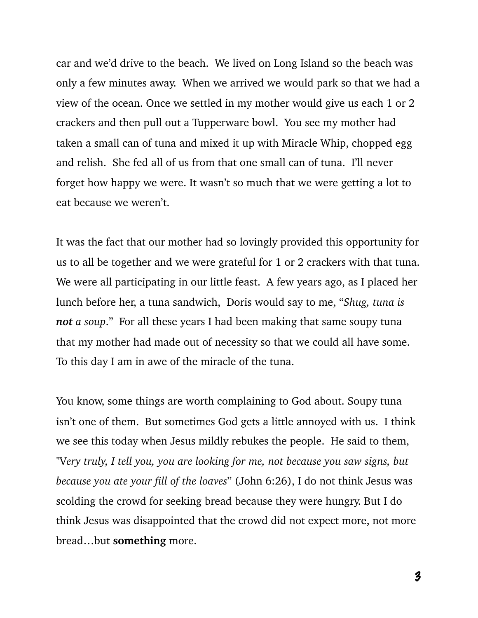car and we'd drive to the beach. We lived on Long Island so the beach was only a few minutes away. When we arrived we would park so that we had a view of the ocean. Once we settled in my mother would give us each 1 or 2 crackers and then pull out a Tupperware bowl. You see my mother had taken a small can of tuna and mixed it up with Miracle Whip, chopped egg and relish. She fed all of us from that one small can of tuna. I'll never forget how happy we were. It wasn't so much that we were getting a lot to eat because we weren't.

It was the fact that our mother had so lovingly provided this opportunity for us to all be together and we were grateful for 1 or 2 crackers with that tuna. We were all participating in our little feast. A few years ago, as I placed her lunch before her, a tuna sandwich, Doris would say to me, "*Shug, tuna is not a soup*." For all these years I had been making that same soupy tuna that my mother had made out of necessity so that we could all have some. To this day I am in awe of the miracle of the tuna.

You know, some things are worth complaining to God about. Soupy tuna isn't one of them. But sometimes God gets a little annoyed with us. I think we see this today when Jesus mildly rebukes the people. He said to them, "V*ery truly, I tell you, you are looking for me, not because you saw signs, but because you ate your fill of the loaves*" (John 6:26), I do not think Jesus was scolding the crowd for seeking bread because they were hungry. But I do think Jesus was disappointed that the crowd did not expect more, not more bread…but **something** more.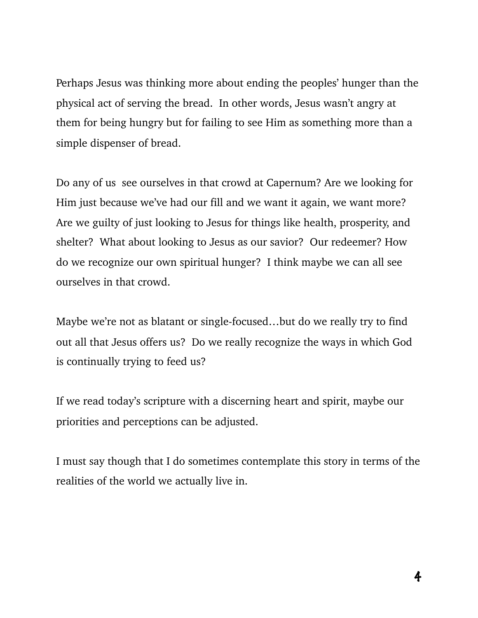Perhaps Jesus was thinking more about ending the peoples' hunger than the physical act of serving the bread. In other words, Jesus wasn't angry at them for being hungry but for failing to see Him as something more than a simple dispenser of bread.

Do any of us see ourselves in that crowd at Capernum? Are we looking for Him just because we've had our fill and we want it again, we want more? Are we guilty of just looking to Jesus for things like health, prosperity, and shelter? What about looking to Jesus as our savior? Our redeemer? How do we recognize our own spiritual hunger? I think maybe we can all see ourselves in that crowd.

Maybe we're not as blatant or single-focused…but do we really try to find out all that Jesus offers us? Do we really recognize the ways in which God is continually trying to feed us?

If we read today's scripture with a discerning heart and spirit, maybe our priorities and perceptions can be adjusted.

I must say though that I do sometimes contemplate this story in terms of the realities of the world we actually live in.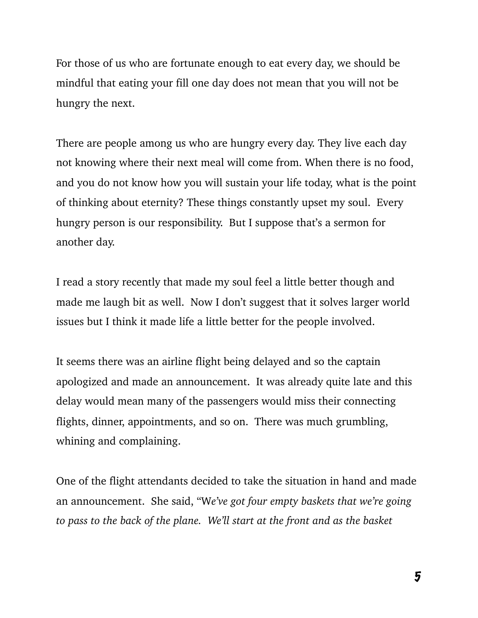For those of us who are fortunate enough to eat every day, we should be mindful that eating your fill one day does not mean that you will not be hungry the next.

There are people among us who are hungry every day. They live each day not knowing where their next meal will come from. When there is no food, and you do not know how you will sustain your life today, what is the point of thinking about eternity? These things constantly upset my soul. Every hungry person is our responsibility. But I suppose that's a sermon for another day.

I read a story recently that made my soul feel a little better though and made me laugh bit as well. Now I don't suggest that it solves larger world issues but I think it made life a little better for the people involved.

It seems there was an airline flight being delayed and so the captain apologized and made an announcement. It was already quite late and this delay would mean many of the passengers would miss their connecting flights, dinner, appointments, and so on. There was much grumbling, whining and complaining.

One of the flight attendants decided to take the situation in hand and made an announcement. She said, "W*e've got four empty baskets that we're going to pass to the back of the plane. We'll start at the front and as the basket*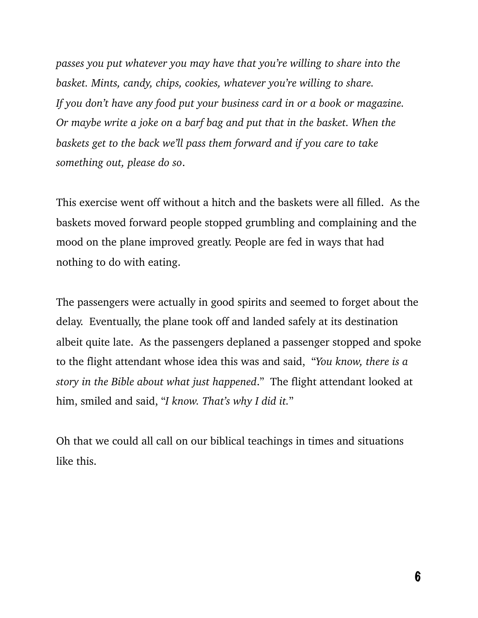*passes you put whatever you may have that you're willing to share into the basket. Mints, candy, chips, cookies, whatever you're willing to share. If you don't have any food put your business card in or a book or magazine. Or maybe write a joke on a barf bag and put that in the basket. When the baskets get to the back we'll pass them forward and if you care to take something out, please do so*.

This exercise went off without a hitch and the baskets were all filled. As the baskets moved forward people stopped grumbling and complaining and the mood on the plane improved greatly. People are fed in ways that had nothing to do with eating.

The passengers were actually in good spirits and seemed to forget about the delay. Eventually, the plane took off and landed safely at its destination albeit quite late. As the passengers deplaned a passenger stopped and spoke to the flight attendant whose idea this was and said, "*You know, there is a story in the Bible about what just happened*." The flight attendant looked at him, smiled and said, "*I know. That's why I did it.*"

Oh that we could all call on our biblical teachings in times and situations like this.